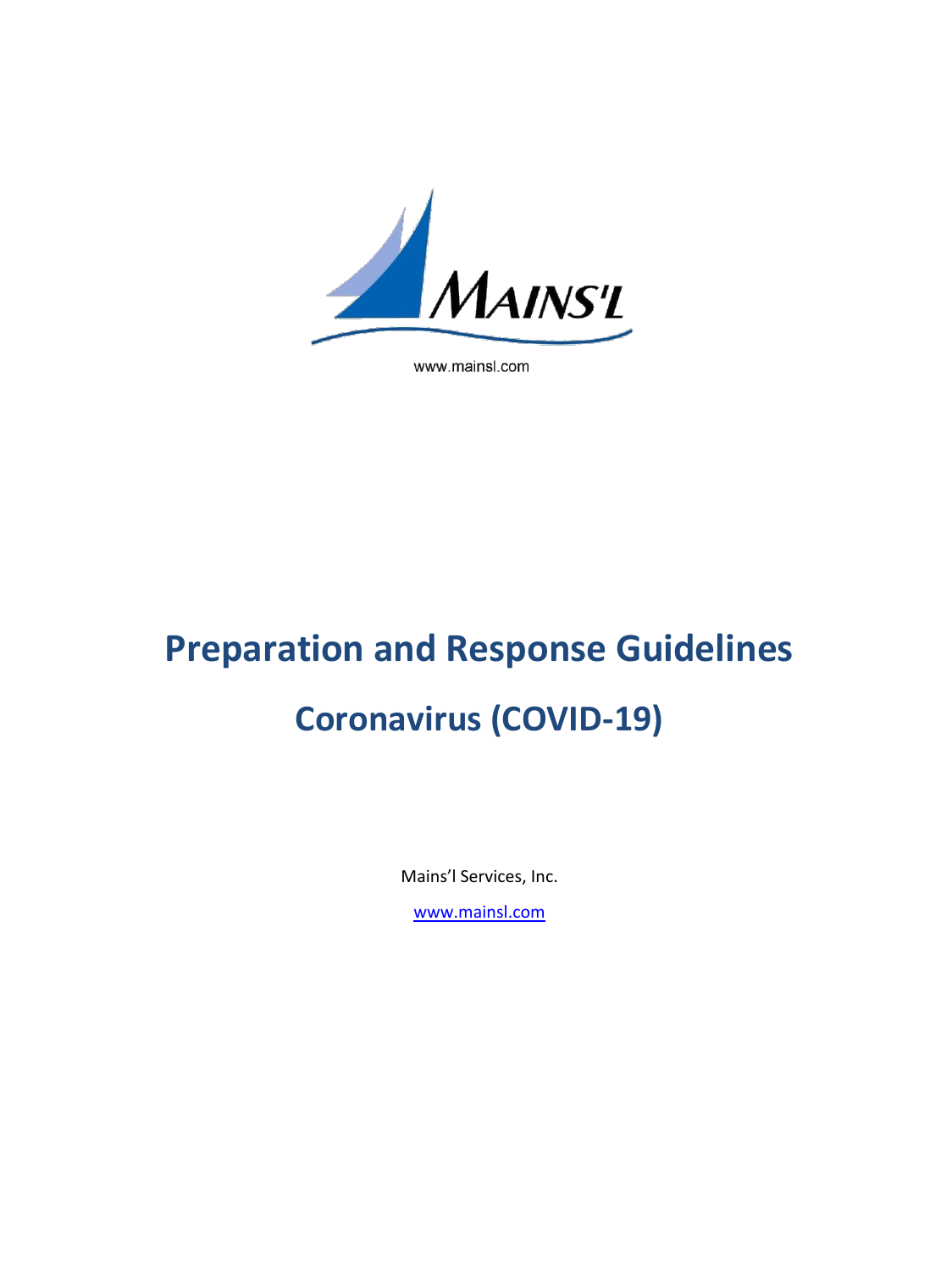

www.mainsl.com

# **Preparation and Response Guidelines Coronavirus (COVID-19)**

Mains'l Services, Inc.

[www.mainsl.com](http://www.mainsl.com/)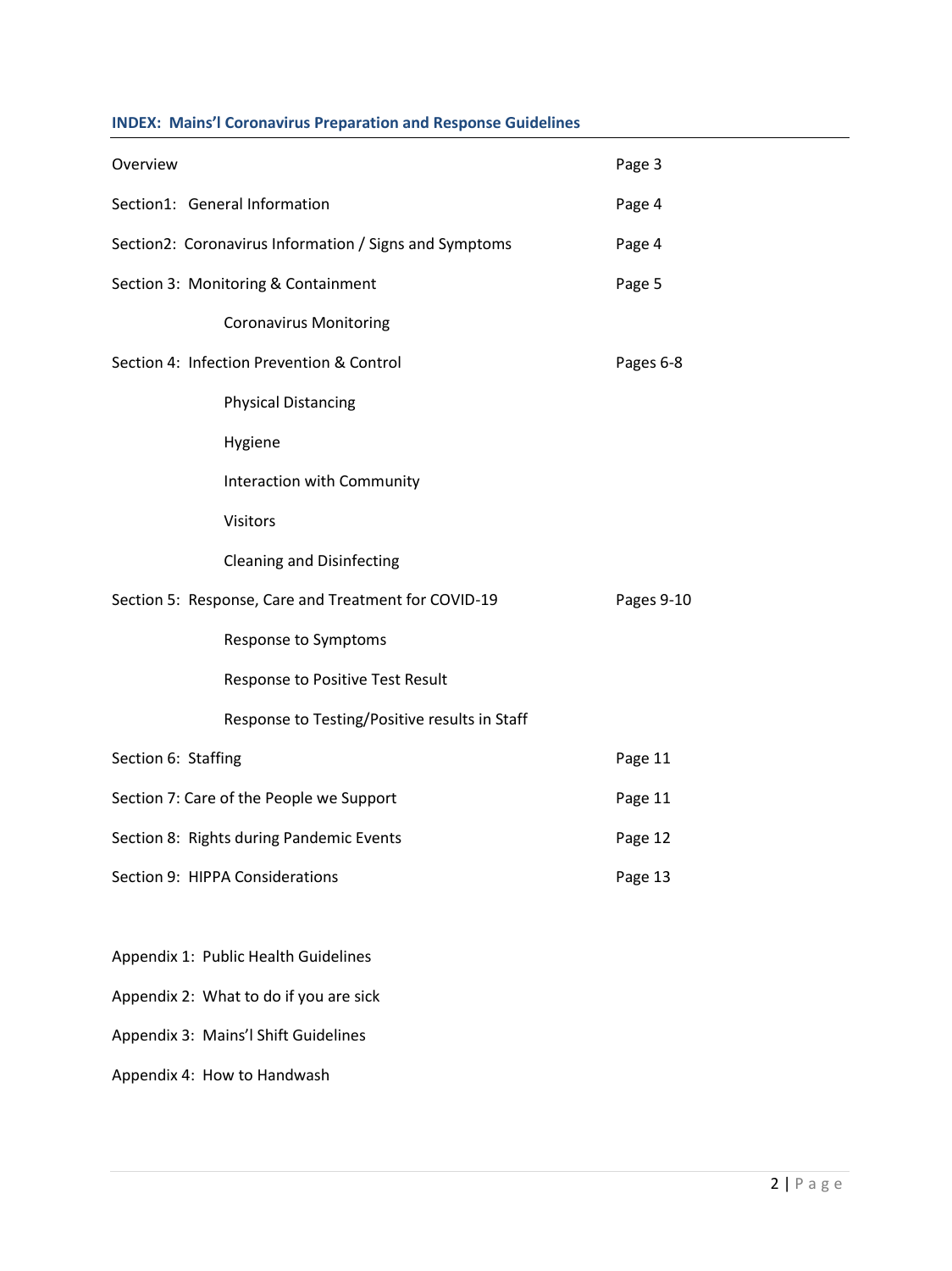# **INDEX: Mains'l Coronavirus Preparation and Response Guidelines**

| Overview                                               |                                                      | Page 3     |
|--------------------------------------------------------|------------------------------------------------------|------------|
| Section1: General Information                          |                                                      | Page 4     |
| Section2: Coronavirus Information / Signs and Symptoms |                                                      | Page 4     |
| Section 3: Monitoring & Containment                    |                                                      | Page 5     |
|                                                        | <b>Coronavirus Monitoring</b>                        |            |
| Section 4: Infection Prevention & Control              |                                                      | Pages 6-8  |
|                                                        | <b>Physical Distancing</b>                           |            |
|                                                        | Hygiene                                              |            |
|                                                        | Interaction with Community                           |            |
|                                                        | <b>Visitors</b>                                      |            |
|                                                        | <b>Cleaning and Disinfecting</b>                     |            |
|                                                        | Section 5: Response, Care and Treatment for COVID-19 | Pages 9-10 |
|                                                        | Response to Symptoms                                 |            |
|                                                        | Response to Positive Test Result                     |            |
|                                                        | Response to Testing/Positive results in Staff        |            |
| Section 6: Staffing                                    |                                                      | Page 11    |
| Section 7: Care of the People we Support               |                                                      | Page 11    |
| Section 8: Rights during Pandemic Events               |                                                      | Page 12    |
| Section 9: HIPPA Considerations                        |                                                      | Page 13    |
|                                                        |                                                      |            |

Appendix 1: Public Health Guidelines

Appendix 2: What to do if you are sick

Appendix 3: Mains'l Shift Guidelines

Appendix 4: How to Handwash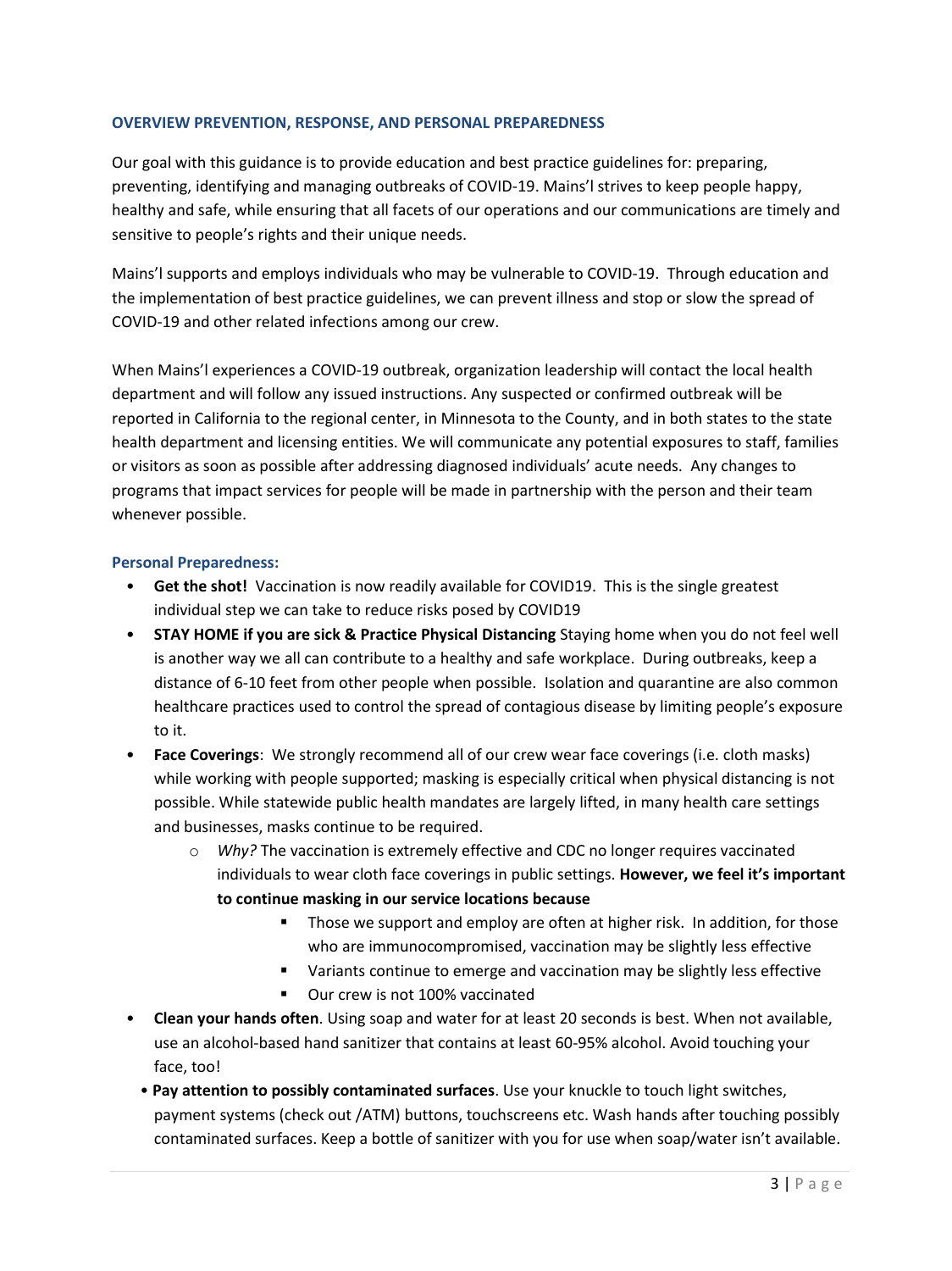#### **OVERVIEW PREVENTION, RESPONSE, AND PERSONAL PREPAREDNESS**

Our goal with this guidance is to provide education and best practice guidelines for: preparing, preventing, identifying and managing outbreaks of COVID-19. Mains'l strives to keep people happy, healthy and safe, while ensuring that all facets of our operations and our communications are timely and sensitive to people's rights and their unique needs.

Mains'l supports and employs individuals who may be vulnerable to COVID-19. Through education and the implementation of best practice guidelines, we can prevent illness and stop or slow the spread of COVID-19 and other related infections among our crew.

When Mains'l experiences a COVID-19 outbreak, organization leadership will contact the local health department and will follow any issued instructions. Any suspected or confirmed outbreak will be reported in California to the regional center, in Minnesota to the County, and in both states to the state health department and licensing entities. We will communicate any potential exposures to staff, families or visitors as soon as possible after addressing diagnosed individuals' acute needs. Any changes to programs that impact services for people will be made in partnership with the person and their team whenever possible.

#### **Personal Preparedness:**

- **Get the shot!** Vaccination is now readily available for COVID19. This is the single greatest individual step we can take to reduce risks posed by COVID19
- **STAY HOME if you are sick & Practice Physical Distancing** Staying home when you do not feel well is another way we all can contribute to a healthy and safe workplace. During outbreaks, keep a distance of 6-10 feet from other people when possible. Isolation and quarantine are also common healthcare practices used to control the spread of contagious disease by limiting people's exposure to it.
- **Face Coverings**: We strongly recommend all of our crew wear face coverings (i.e. cloth masks) while working with people supported; masking is especially critical when physical distancing is not possible. While statewide public health mandates are largely lifted, in many health care settings and businesses, masks continue to be required.
	- o *Why?* The vaccination is extremely effective and CDC no longer requires vaccinated individuals to wear cloth face coverings in public settings. **However, we feel it's important to continue masking in our service locations because**
		- **■** Those we support and employ are often at higher risk. In addition, for those who are immunocompromised, vaccination may be slightly less effective
		- Variants continue to emerge and vaccination may be slightly less effective
		- Our crew is not 100% vaccinated
- **Clean your hands often**. Using soap and water for at least 20 seconds is best. When not available, use an alcohol-based hand sanitizer that contains at least 60-95% alcohol. Avoid touching your face, too!
	- **Pay attention to possibly contaminated surfaces**. Use your knuckle to touch light switches, payment systems (check out /ATM) buttons, touchscreens etc. Wash hands after touching possibly contaminated surfaces. Keep a bottle of sanitizer with you for use when soap/water isn't available.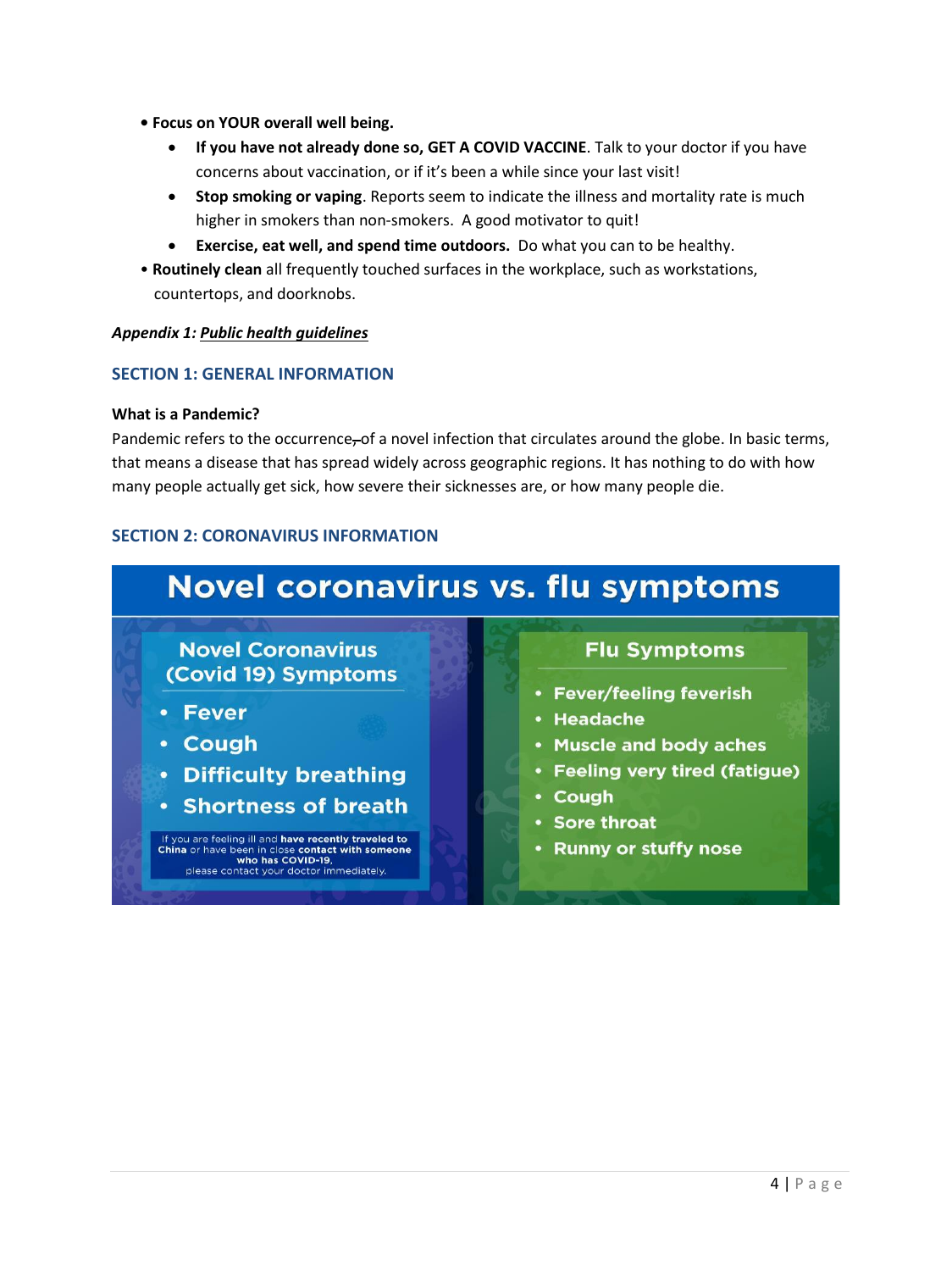- **Focus on YOUR overall well being.** 
	- **If you have not already done so, GET A COVID VACCINE**. Talk to your doctor if you have concerns about vaccination, or if it's been a while since your last visit!
	- **Stop smoking or vaping**. Reports seem to indicate the illness and mortality rate is much higher in smokers than non-smokers. A good motivator to quit!
	- **Exercise, eat well, and spend time outdoors.** Do what you can to be healthy.
- **Routinely clean** all frequently touched surfaces in the workplace, such as workstations, countertops, and doorknobs.

#### *Appendix 1: Public health guidelines*

# **SECTION 1: GENERAL INFORMATION**

#### **What is a Pandemic?**

Pandemic refers to the occurrence, of a novel infection that circulates around the globe. In basic terms, that means a disease that has spread widely across geographic regions. It has nothing to do with how many people actually get sick, how severe their sicknesses are, or how many people die.

#### **SECTION 2: CORONAVIRUS INFORMATION**

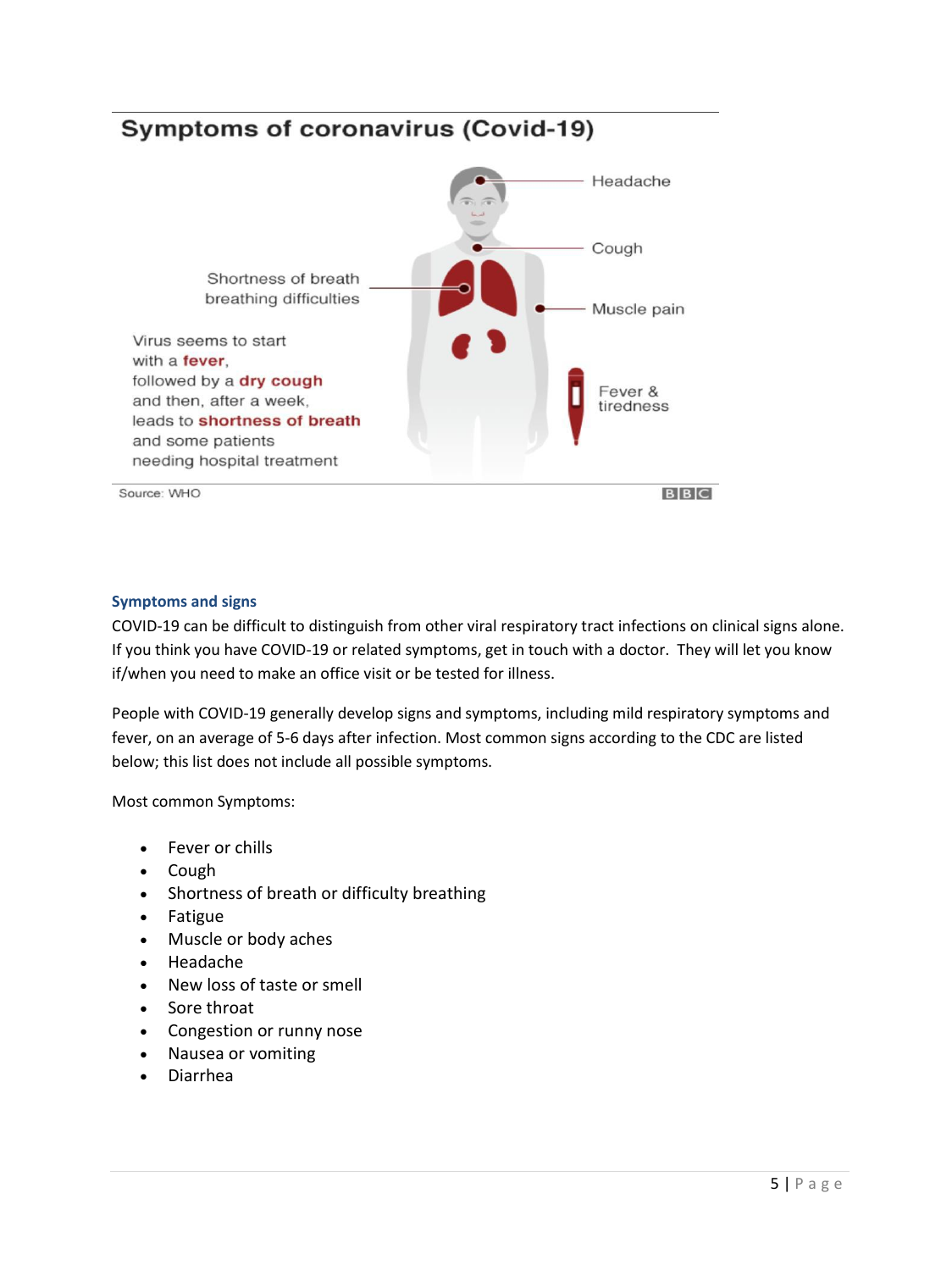# **Symptoms of coronavirus (Covid-19)**



#### **Symptoms and signs**

COVID-19 can be difficult to distinguish from other viral respiratory tract infections on clinical signs alone. If you think you have COVID-19 or related symptoms, get in touch with a doctor. They will let you know if/when you need to make an office visit or be tested for illness.

People with COVID-19 generally develop signs and symptoms, including mild respiratory symptoms and fever, on an average of 5-6 days after infection. Most common signs according to the CDC are listed below; this list does not include all possible symptoms.

Most common Symptoms:

- Fever or chills
- Cough
- Shortness of breath or difficulty breathing
- Fatigue
- Muscle or body aches
- Headache
- New loss of taste or smell
- Sore throat
- Congestion or runny nose
- Nausea or vomiting
- Diarrhea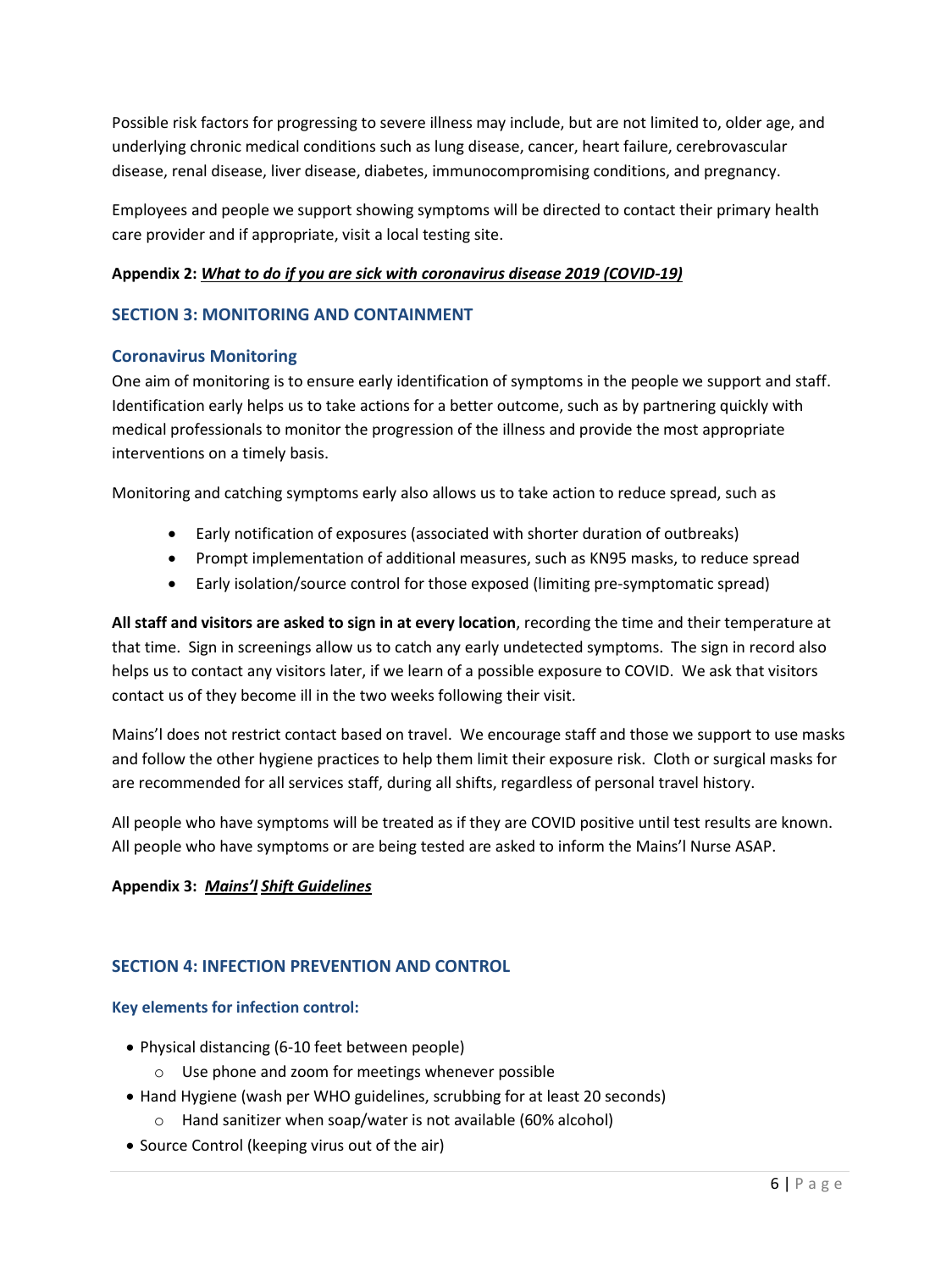Possible risk factors for progressing to severe illness may include, but are not limited to, older age, and underlying chronic medical conditions such as lung disease, cancer, heart failure, cerebrovascular disease, renal disease, liver disease, diabetes, immunocompromising conditions, and pregnancy.

Employees and people we support showing symptoms will be directed to contact their primary health care provider and if appropriate, visit a local testing site.

#### **Appendix 2:** *What to do if you are sick with coronavirus disease 2019 (COVID-19)*

#### **SECTION 3: MONITORING AND CONTAINMENT**

#### **Coronavirus Monitoring**

One aim of monitoring is to ensure early identification of symptoms in the people we support and staff. Identification early helps us to take actions for a better outcome, such as by partnering quickly with medical professionals to monitor the progression of the illness and provide the most appropriate interventions on a timely basis.

Monitoring and catching symptoms early also allows us to take action to reduce spread, such as

- Early notification of exposures (associated with shorter duration of outbreaks)
- Prompt implementation of additional measures, such as KN95 masks, to reduce spread
- Early isolation/source control for those exposed (limiting pre-symptomatic spread)

**All staff and visitors are asked to sign in at every location**, recording the time and their temperature at that time. Sign in screenings allow us to catch any early undetected symptoms. The sign in record also helps us to contact any visitors later, if we learn of a possible exposure to COVID. We ask that visitors contact us of they become ill in the two weeks following their visit.

Mains'l does not restrict contact based on travel. We encourage staff and those we support to use masks and follow the other hygiene practices to help them limit their exposure risk. Cloth or surgical masks for are recommended for all services staff, during all shifts, regardless of personal travel history.

All people who have symptoms will be treated as if they are COVID positive until test results are known. All people who have symptoms or are being tested are asked to inform the Mains'l Nurse ASAP.

#### **Appendix 3:** *Mains'l Shift Guidelines*

# **SECTION 4: INFECTION PREVENTION AND CONTROL**

#### **Key elements for infection control:**

- Physical distancing (6-10 feet between people)
	- o Use phone and zoom for meetings whenever possible
- Hand Hygiene (wash per WHO guidelines, scrubbing for at least 20 seconds)
	- o Hand sanitizer when soap/water is not available (60% alcohol)
- Source Control (keeping virus out of the air)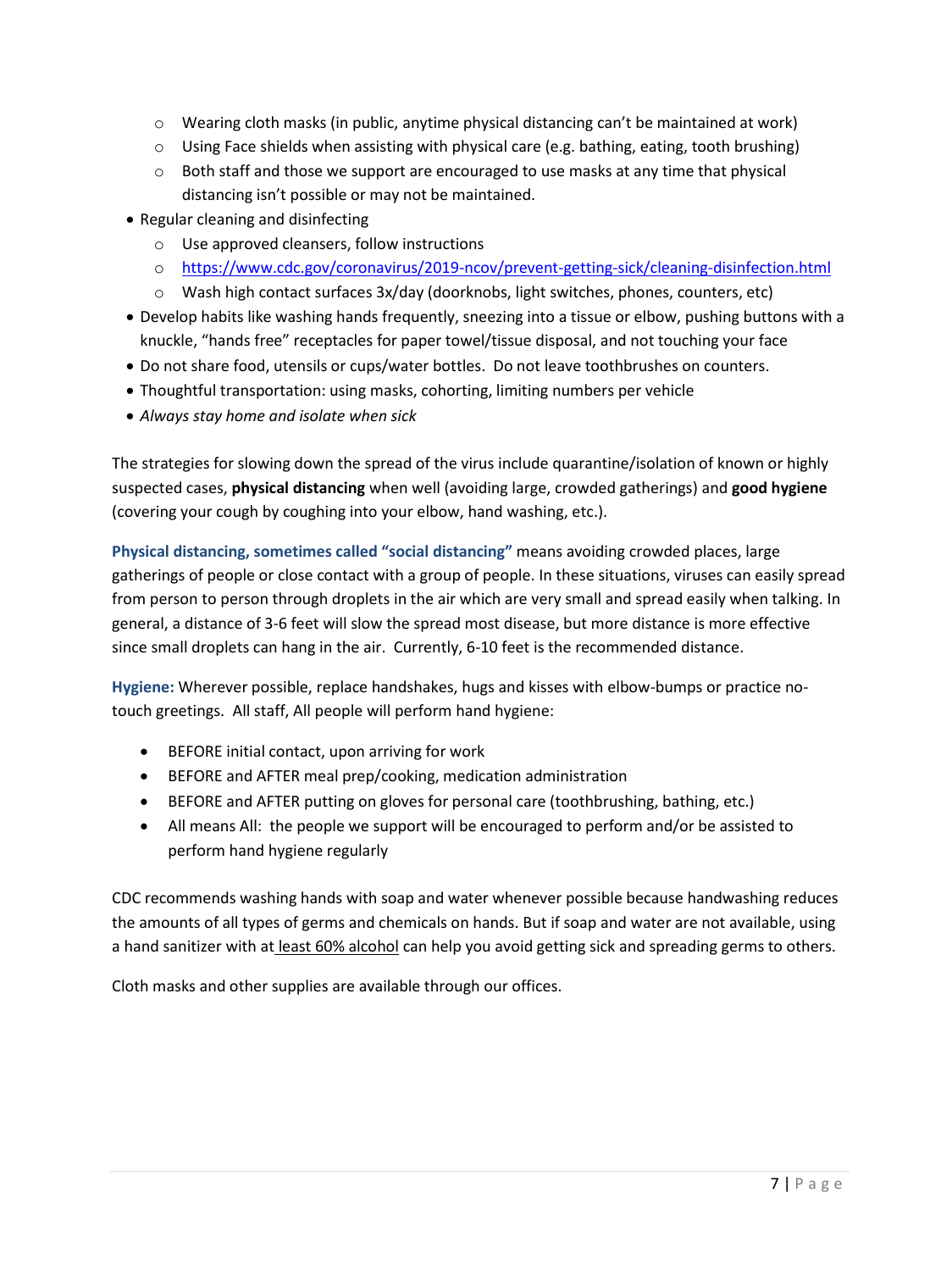- $\circ$  Wearing cloth masks (in public, anytime physical distancing can't be maintained at work)
- $\circ$  Using Face shields when assisting with physical care (e.g. bathing, eating, tooth brushing)
- $\circ$  Both staff and those we support are encouraged to use masks at any time that physical distancing isn't possible or may not be maintained.
- Regular cleaning and disinfecting
	- o Use approved cleansers, follow instructions
	- o <https://www.cdc.gov/coronavirus/2019-ncov/prevent-getting-sick/cleaning-disinfection.html>
	- $\circ$  Wash high contact surfaces 3x/day (doorknobs, light switches, phones, counters, etc)
- Develop habits like washing hands frequently, sneezing into a tissue or elbow, pushing buttons with a knuckle, "hands free" receptacles for paper towel/tissue disposal, and not touching your face
- Do not share food, utensils or cups/water bottles. Do not leave toothbrushes on counters.
- Thoughtful transportation: using masks, cohorting, limiting numbers per vehicle
- *Always stay home and isolate when sick*

The strategies for slowing down the spread of the virus include quarantine/isolation of known or highly suspected cases, **physical distancing** when well (avoiding large, crowded gatherings) and **good hygiene** (covering your cough by coughing into your elbow, hand washing, etc.).

**Physical distancing, sometimes called "social distancing"** means avoiding crowded places, large gatherings of people or close contact with a group of people. In these situations, viruses can easily spread from person to person through droplets in the air which are very small and spread easily when talking. In general, a distance of 3-6 feet will slow the spread most disease, but more distance is more effective since small droplets can hang in the air. Currently, 6-10 feet is the recommended distance.

**Hygiene:** Wherever possible, replace handshakes, hugs and kisses with elbow-bumps or practice notouch greetings. All staff, All people will perform hand hygiene:

- BEFORE initial contact, upon arriving for work
- BEFORE and AFTER meal prep/cooking, medication administration
- BEFORE and AFTER putting on gloves for personal care (toothbrushing, bathing, etc.)
- All means All: the people we support will be encouraged to perform and/or be assisted to perform hand hygiene regularly

CDC recommends washing hands with soap and water whenever possible because handwashing reduces the amounts of all types of germs and chemicals on hands. But if soap and water are not available, using a hand sanitizer with at least 60% alcohol can help you avoid getting sick and spreading germs to others.

Cloth masks and other supplies are available through our offices.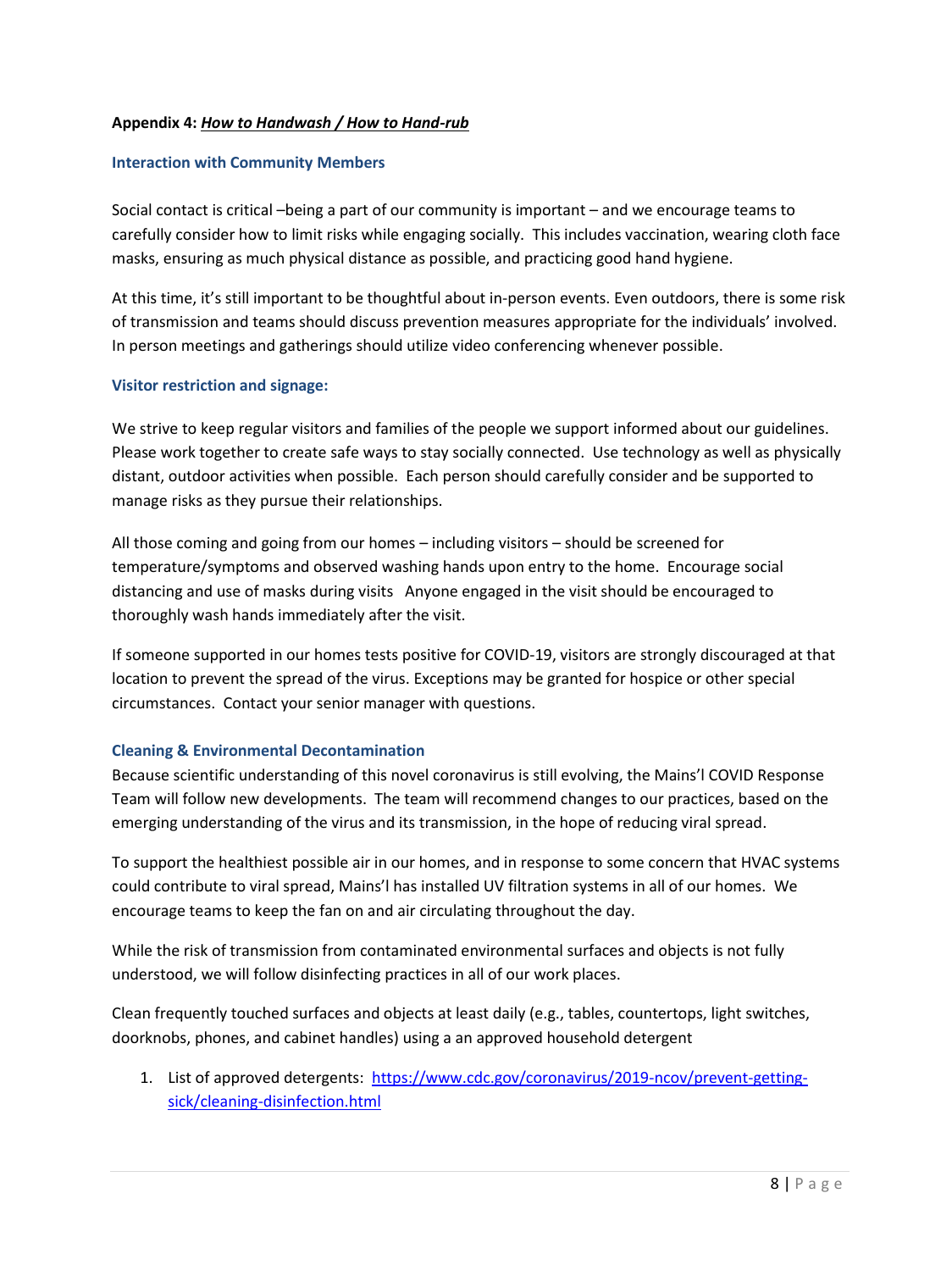#### **Appendix 4:** *How to Handwash / How to Hand-rub*

#### **Interaction with Community Members**

Social contact is critical –being a part of our community is important – and we encourage teams to carefully consider how to limit risks while engaging socially. This includes vaccination, wearing cloth face masks, ensuring as much physical distance as possible, and practicing good hand hygiene.

At this time, it's still important to be thoughtful about in-person events. Even outdoors, there is some risk of transmission and teams should discuss prevention measures appropriate for the individuals' involved. In person meetings and gatherings should utilize video conferencing whenever possible.

#### **Visitor restriction and signage:**

We strive to keep regular visitors and families of the people we support informed about our guidelines. Please work together to create safe ways to stay socially connected. Use technology as well as physically distant, outdoor activities when possible. Each person should carefully consider and be supported to manage risks as they pursue their relationships.

All those coming and going from our homes – including visitors – should be screened for temperature/symptoms and observed washing hands upon entry to the home. Encourage social distancing and use of masks during visits Anyone engaged in the visit should be encouraged to thoroughly wash hands immediately after the visit.

If someone supported in our homes tests positive for COVID-19, visitors are strongly discouraged at that location to prevent the spread of the virus. Exceptions may be granted for hospice or other special circumstances. Contact your senior manager with questions.

#### **Cleaning & Environmental Decontamination**

Because scientific understanding of this novel coronavirus is still evolving, the Mains'l COVID Response Team will follow new developments. The team will recommend changes to our practices, based on the emerging understanding of the virus and its transmission, in the hope of reducing viral spread.

To support the healthiest possible air in our homes, and in response to some concern that HVAC systems could contribute to viral spread, Mains'l has installed UV filtration systems in all of our homes. We encourage teams to keep the fan on and air circulating throughout the day.

While the risk of transmission from contaminated environmental surfaces and objects is not fully understood, we will follow disinfecting practices in all of our work places.

Clean frequently touched surfaces and objects at least daily (e.g., tables, countertops, light switches, doorknobs, phones, and cabinet handles) using a an approved household detergent

1. List of approved detergents: [https://www.cdc.gov/coronavirus/2019-ncov/prevent-getting](https://www.cdc.gov/coronavirus/2019-ncov/prevent-getting-sick/cleaning-disinfection.html)[sick/cleaning-disinfection.html](https://www.cdc.gov/coronavirus/2019-ncov/prevent-getting-sick/cleaning-disinfection.html)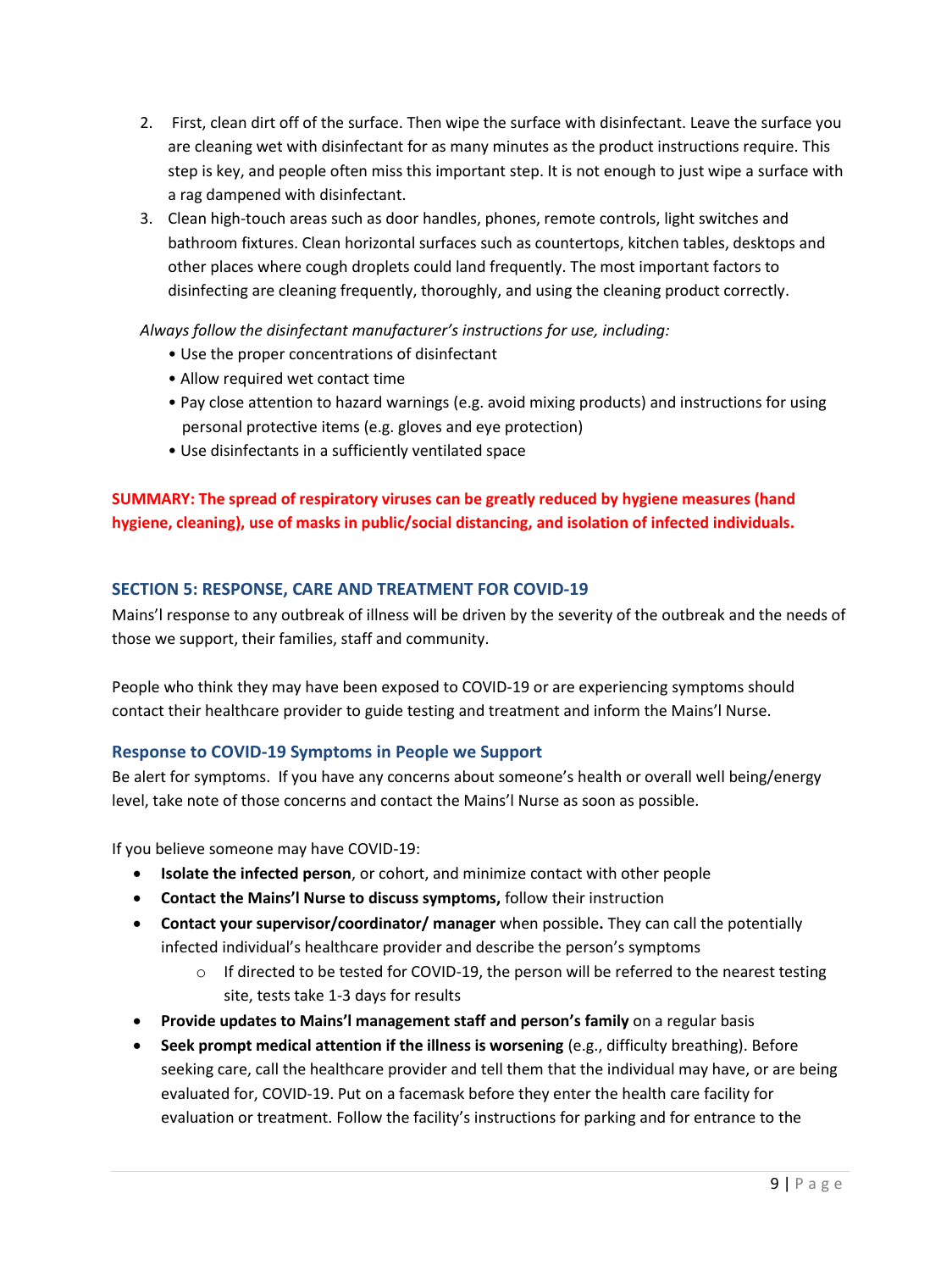- 2. First, clean dirt off of the surface. Then wipe the surface with disinfectant. Leave the surface you are cleaning wet with disinfectant for as many minutes as the product instructions require. This step is key, and people often miss this important step. It is not enough to just wipe a surface with a rag dampened with disinfectant.
- 3. Clean high-touch areas such as door handles, phones, remote controls, light switches and bathroom fixtures. Clean horizontal surfaces such as countertops, kitchen tables, desktops and other places where cough droplets could land frequently. The most important factors to disinfecting are cleaning frequently, thoroughly, and using the cleaning product correctly.

# *Always follow the disinfectant manufacturer's instructions for use, including:*

- Use the proper concentrations of disinfectant
- Allow required wet contact time
- Pay close attention to hazard warnings (e.g. avoid mixing products) and instructions for using personal protective items (e.g. gloves and eye protection)
- Use disinfectants in a sufficiently ventilated space

# **SUMMARY: The spread of respiratory viruses can be greatly reduced by hygiene measures (hand hygiene, cleaning), use of masks in public/social distancing, and isolation of infected individuals.**

#### **SECTION 5: RESPONSE, CARE AND TREATMENT FOR COVID-19**

Mains'l response to any outbreak of illness will be driven by the severity of the outbreak and the needs of those we support, their families, staff and community.

People who think they may have been exposed to COVID-19 or are experiencing symptoms should contact their healthcare provider to guide testing and treatment and inform the Mains'l Nurse.

#### **Response to COVID-19 Symptoms in People we Support**

Be alert for symptoms. If you have any concerns about someone's health or overall well being/energy level, take note of those concerns and contact the Mains'l Nurse as soon as possible.

If you believe someone may have COVID-19:

- **Isolate the infected person**, or cohort, and minimize contact with other people
- **Contact the Mains'l Nurse to discuss symptoms,** follow their instruction
- **Contact your supervisor/coordinator/ manager** when possible**.** They can call the potentially infected individual's healthcare provider and describe the person's symptoms
	- $\circ$  If directed to be tested for COVID-19, the person will be referred to the nearest testing site, tests take 1-3 days for results
- **Provide updates to Mains'l management staff and person's family** on a regular basis
- **Seek prompt medical attention if the illness is worsening** (e.g., difficulty breathing). Before seeking care, call the healthcare provider and tell them that the individual may have, or are being evaluated for, COVID-19. Put on a facemask before they enter the health care facility for evaluation or treatment. Follow the facility's instructions for parking and for entrance to the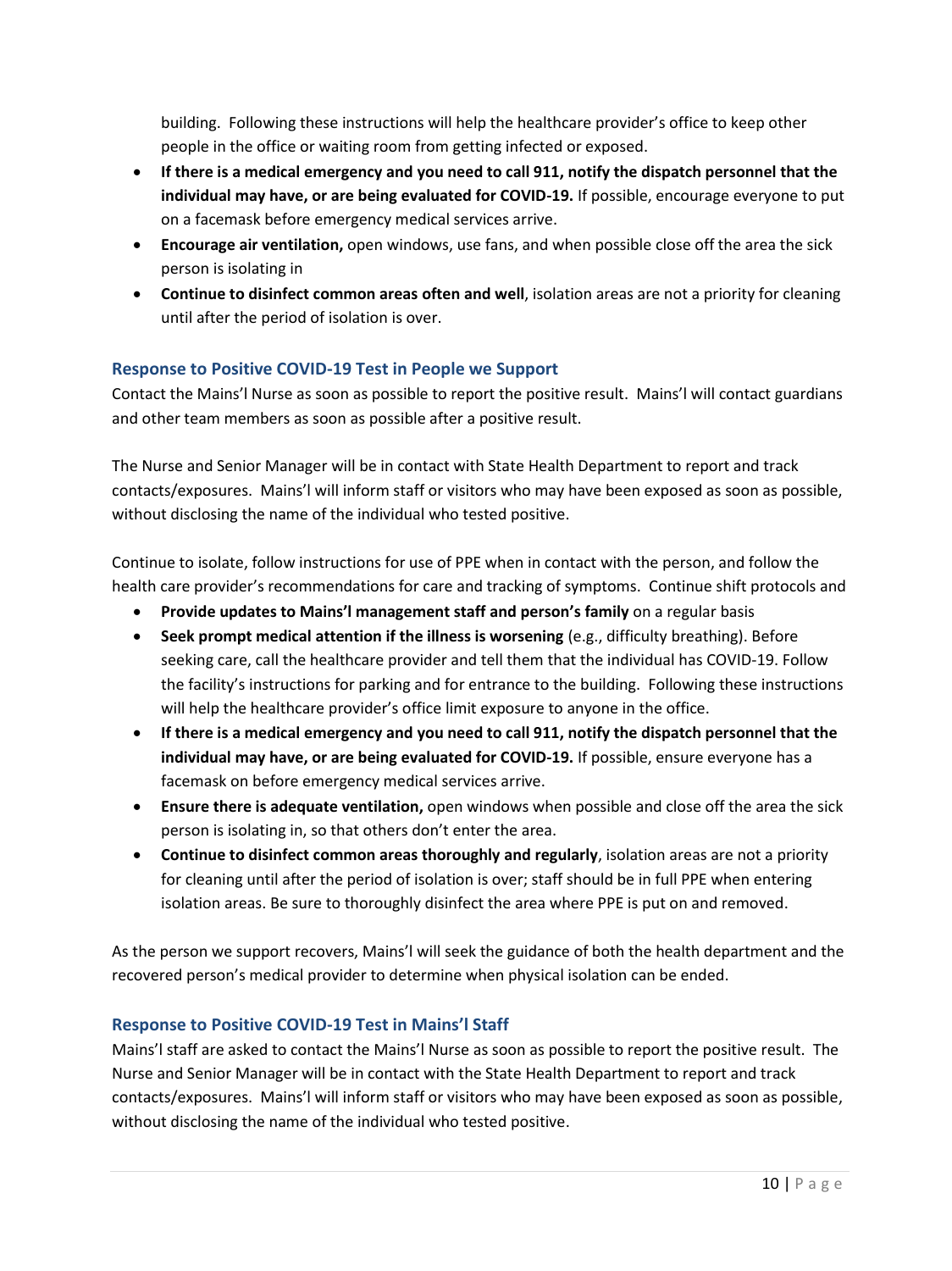building. Following these instructions will help the healthcare provider's office to keep other people in the office or waiting room from getting infected or exposed.

- **If there is a medical emergency and you need to call 911, notify the dispatch personnel that the individual may have, or are being evaluated for COVID-19.** If possible, encourage everyone to put on a facemask before emergency medical services arrive.
- **Encourage air ventilation,** open windows, use fans, and when possible close off the area the sick person is isolating in
- **Continue to disinfect common areas often and well**, isolation areas are not a priority for cleaning until after the period of isolation is over.

# **Response to Positive COVID-19 Test in People we Support**

Contact the Mains'l Nurse as soon as possible to report the positive result. Mains'l will contact guardians and other team members as soon as possible after a positive result.

The Nurse and Senior Manager will be in contact with State Health Department to report and track contacts/exposures. Mains'l will inform staff or visitors who may have been exposed as soon as possible, without disclosing the name of the individual who tested positive.

Continue to isolate, follow instructions for use of PPE when in contact with the person, and follow the health care provider's recommendations for care and tracking of symptoms. Continue shift protocols and

- **Provide updates to Mains'l management staff and person's family** on a regular basis
- **Seek prompt medical attention if the illness is worsening** (e.g., difficulty breathing). Before seeking care, call the healthcare provider and tell them that the individual has COVID-19. Follow the facility's instructions for parking and for entrance to the building. Following these instructions will help the healthcare provider's office limit exposure to anyone in the office.
- **If there is a medical emergency and you need to call 911, notify the dispatch personnel that the individual may have, or are being evaluated for COVID-19.** If possible, ensure everyone has a facemask on before emergency medical services arrive.
- **Ensure there is adequate ventilation,** open windows when possible and close off the area the sick person is isolating in, so that others don't enter the area.
- **Continue to disinfect common areas thoroughly and regularly**, isolation areas are not a priority for cleaning until after the period of isolation is over; staff should be in full PPE when entering isolation areas. Be sure to thoroughly disinfect the area where PPE is put on and removed.

As the person we support recovers, Mains'l will seek the guidance of both the health department and the recovered person's medical provider to determine when physical isolation can be ended.

# **Response to Positive COVID-19 Test in Mains'l Staff**

Mains'l staff are asked to contact the Mains'l Nurse as soon as possible to report the positive result. The Nurse and Senior Manager will be in contact with the State Health Department to report and track contacts/exposures. Mains'l will inform staff or visitors who may have been exposed as soon as possible, without disclosing the name of the individual who tested positive.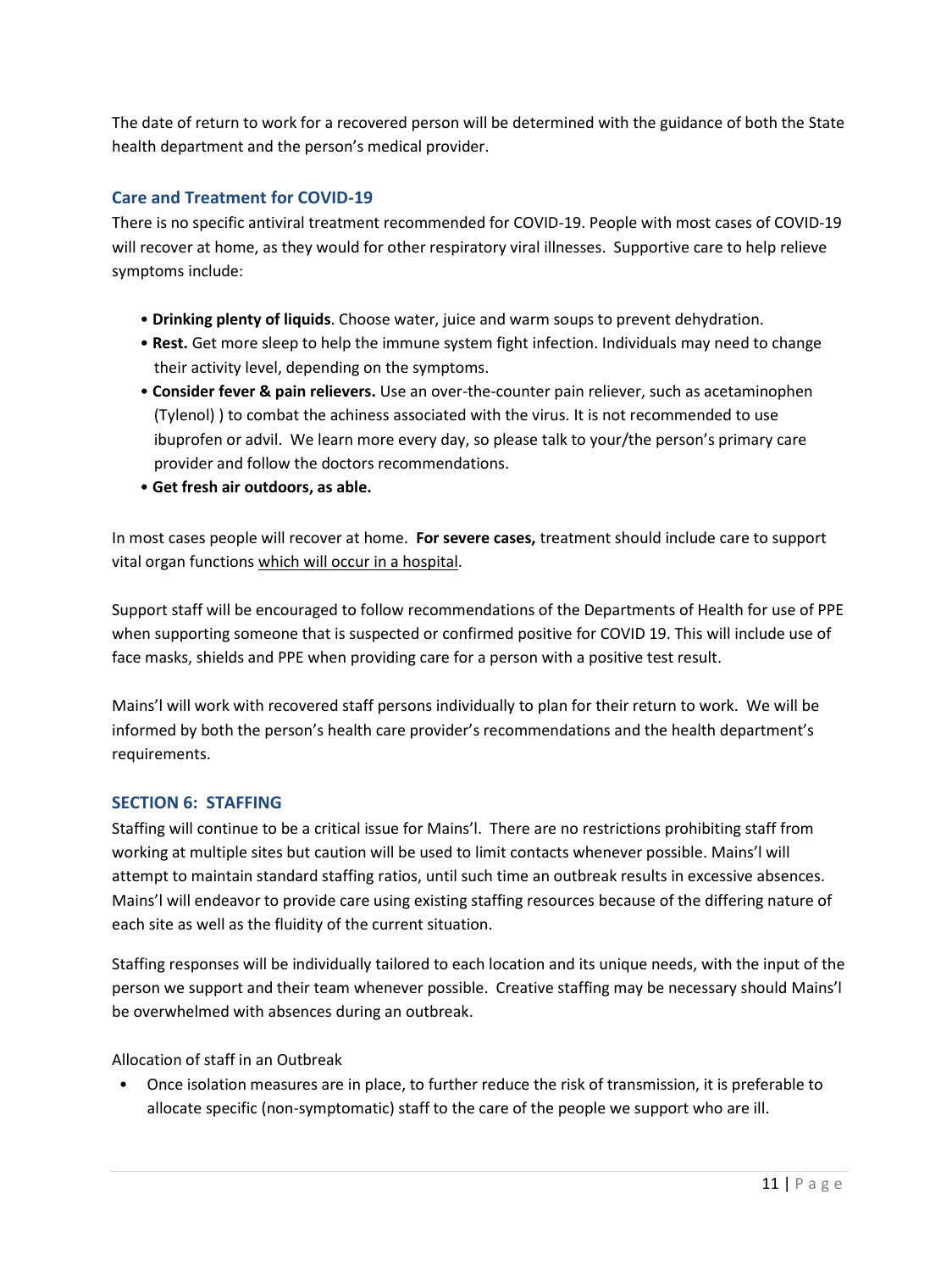The date of return to work for a recovered person will be determined with the guidance of both the State health department and the person's medical provider.

# **Care and Treatment for COVID-19**

There is no specific antiviral treatment recommended for COVID-19. People with most cases of COVID-19 will recover at home, as they would for other respiratory viral illnesses. Supportive care to help relieve symptoms include:

- **Drinking plenty of liquids**. Choose water, juice and warm soups to prevent dehydration.
- **Rest.** Get more sleep to help the immune system fight infection. Individuals may need to change their activity level, depending on the symptoms.
- **Consider fever & pain relievers.** Use an over-the-counter pain reliever, such as acetaminophen (Tylenol) ) to combat the achiness associated with the virus. It is not recommended to use ibuprofen or advil. We learn more every day, so please talk to your/the person's primary care provider and follow the doctors recommendations.
- **Get fresh air outdoors, as able.**

In most cases people will recover at home. **For severe cases,** treatment should include care to support vital organ functions which will occur in a hospital.

Support staff will be encouraged to follow recommendations of the Departments of Health for use of PPE when supporting someone that is suspected or confirmed positive for COVID 19. This will include use of face masks, shields and PPE when providing care for a person with a positive test result.

Mains'l will work with recovered staff persons individually to plan for their return to work. We will be informed by both the person's health care provider's recommendations and the health department's requirements.

#### **SECTION 6: STAFFING**

Staffing will continue to be a critical issue for Mains'l. There are no restrictions prohibiting staff from working at multiple sites but caution will be used to limit contacts whenever possible. Mains'l will attempt to maintain standard staffing ratios, until such time an outbreak results in excessive absences. Mains'l will endeavor to provide care using existing staffing resources because of the differing nature of each site as well as the fluidity of the current situation.

Staffing responses will be individually tailored to each location and its unique needs, with the input of the person we support and their team whenever possible. Creative staffing may be necessary should Mains'l be overwhelmed with absences during an outbreak.

Allocation of staff in an Outbreak

• Once isolation measures are in place, to further reduce the risk of transmission, it is preferable to allocate specific (non-symptomatic) staff to the care of the people we support who are ill.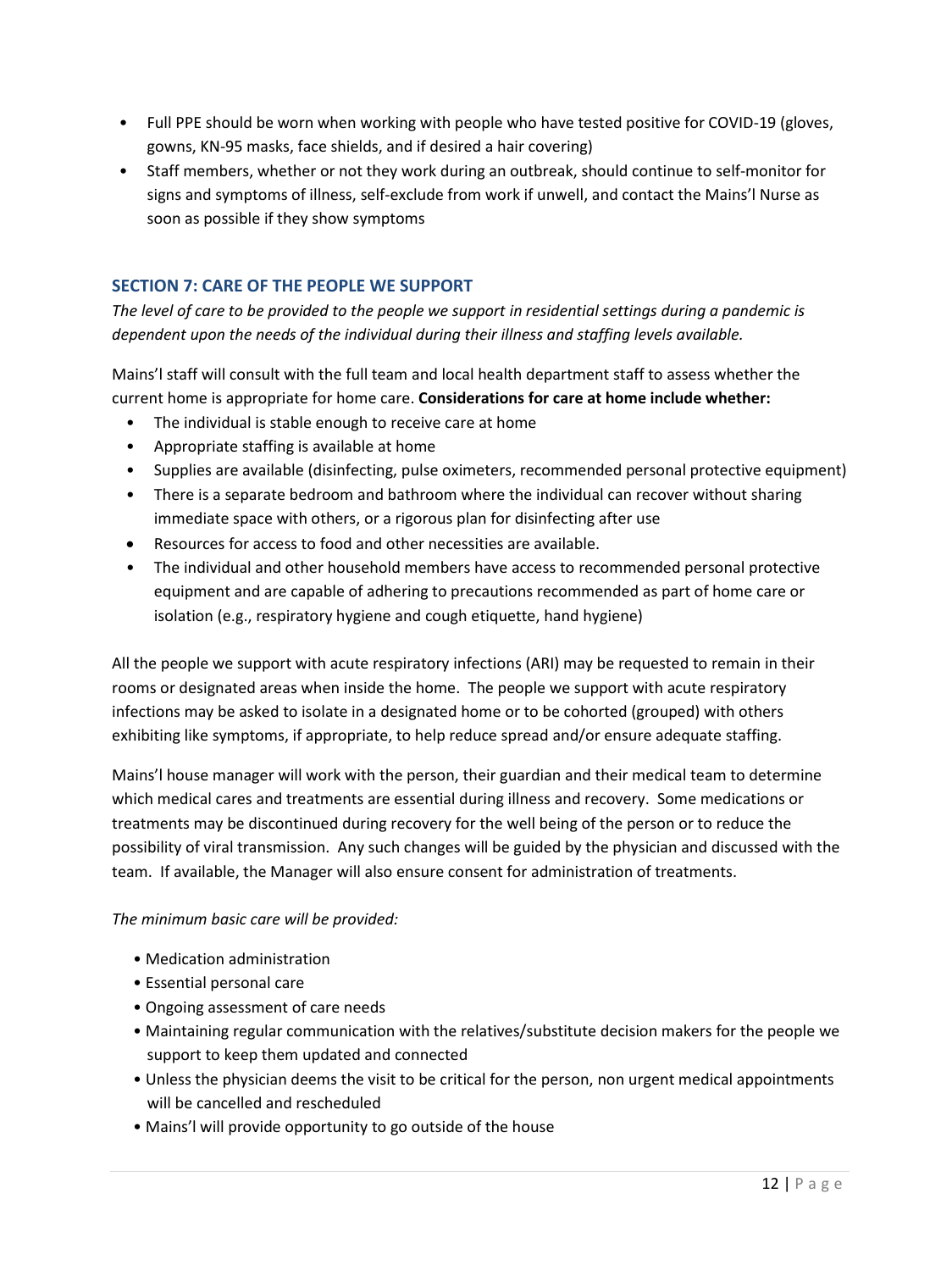- Full PPE should be worn when working with people who have tested positive for COVID-19 (gloves, gowns, KN-95 masks, face shields, and if desired a hair covering)
- Staff members, whether or not they work during an outbreak, should continue to self-monitor for signs and symptoms of illness, self-exclude from work if unwell, and contact the Mains'l Nurse as soon as possible if they show symptoms

# **SECTION 7: CARE OF THE PEOPLE WE SUPPORT**

*The level of care to be provided to the people we support in residential settings during a pandemic is dependent upon the needs of the individual during their illness and staffing levels available.*

Mains'l staff will consult with the full team and local health department staff to assess whether the current home is appropriate for home care. **Considerations for care at home include whether:**

- The individual is stable enough to receive care at home
- Appropriate staffing is available at home
- Supplies are available (disinfecting, pulse oximeters, recommended personal protective equipment)
- There is a separate bedroom and bathroom where the individual can recover without sharing immediate space with others, or a rigorous plan for disinfecting after use
- Resources for access to food and other necessities are available.
- The individual and other household members have access to recommended personal protective equipment and are capable of adhering to precautions recommended as part of home care or isolation (e.g., respiratory hygiene and cough etiquette, hand hygiene)

All the people we support with acute respiratory infections (ARI) may be requested to remain in their rooms or designated areas when inside the home. The people we support with acute respiratory infections may be asked to isolate in a designated home or to be cohorted (grouped) with others exhibiting like symptoms, if appropriate, to help reduce spread and/or ensure adequate staffing.

Mains'l house manager will work with the person, their guardian and their medical team to determine which medical cares and treatments are essential during illness and recovery. Some medications or treatments may be discontinued during recovery for the well being of the person or to reduce the possibility of viral transmission. Any such changes will be guided by the physician and discussed with the team. If available, the Manager will also ensure consent for administration of treatments.

#### *The minimum basic care will be provided:*

- Medication administration
- Essential personal care
- Ongoing assessment of care needs
- Maintaining regular communication with the relatives/substitute decision makers for the people we support to keep them updated and connected
- Unless the physician deems the visit to be critical for the person, non urgent medical appointments will be cancelled and rescheduled
- Mains'l will provide opportunity to go outside of the house